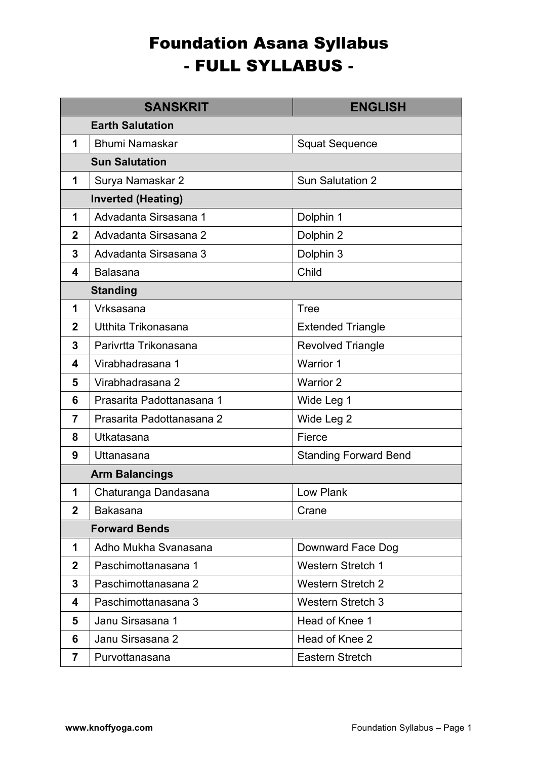## Foundation Asana Syllabus - FULL SYLLABUS -

|              | <b>SANSKRIT</b>           | <b>ENGLISH</b>               |  |
|--------------|---------------------------|------------------------------|--|
|              | <b>Earth Salutation</b>   |                              |  |
| 1            | <b>Bhumi Namaskar</b>     | <b>Squat Sequence</b>        |  |
|              | <b>Sun Salutation</b>     |                              |  |
| 1            | Surya Namaskar 2          | <b>Sun Salutation 2</b>      |  |
|              | <b>Inverted (Heating)</b> |                              |  |
| 1            | Advadanta Sirsasana 1     | Dolphin 1                    |  |
| $\mathbf{2}$ | Advadanta Sirsasana 2     | Dolphin 2                    |  |
| 3            | Advadanta Sirsasana 3     | Dolphin 3                    |  |
| 4            | <b>Balasana</b>           | Child                        |  |
|              | <b>Standing</b>           |                              |  |
| 1            | Vrksasana                 | <b>Tree</b>                  |  |
| $\mathbf{2}$ | Utthita Trikonasana       | <b>Extended Triangle</b>     |  |
| 3            | Parivrtta Trikonasana     | <b>Revolved Triangle</b>     |  |
| 4            | Virabhadrasana 1          | <b>Warrior 1</b>             |  |
| 5            | Virabhadrasana 2          | <b>Warrior 2</b>             |  |
| 6            | Prasarita Padottanasana 1 | Wide Leg 1                   |  |
| 7            | Prasarita Padottanasana 2 | Wide Leg 2                   |  |
| 8            | Utkatasana                | Fierce                       |  |
| 9            | Uttanasana                | <b>Standing Forward Bend</b> |  |
|              | <b>Arm Balancings</b>     |                              |  |
| 1            | Chaturanga Dandasana      | Low Plank                    |  |
| $\mathbf{2}$ | <b>Bakasana</b>           | Crane                        |  |
|              | <b>Forward Bends</b>      |                              |  |
| 1            | Adho Mukha Svanasana      | Downward Face Dog            |  |
| 2            | Paschimottanasana 1       | <b>Western Stretch 1</b>     |  |
| 3            | Paschimottanasana 2       | <b>Western Stretch 2</b>     |  |
| 4            | Paschimottanasana 3       | <b>Western Stretch 3</b>     |  |
| 5            | Janu Sirsasana 1          | Head of Knee 1               |  |
| 6            | Janu Sirsasana 2          | Head of Knee 2               |  |
| 7            | Purvottanasana            | Eastern Stretch              |  |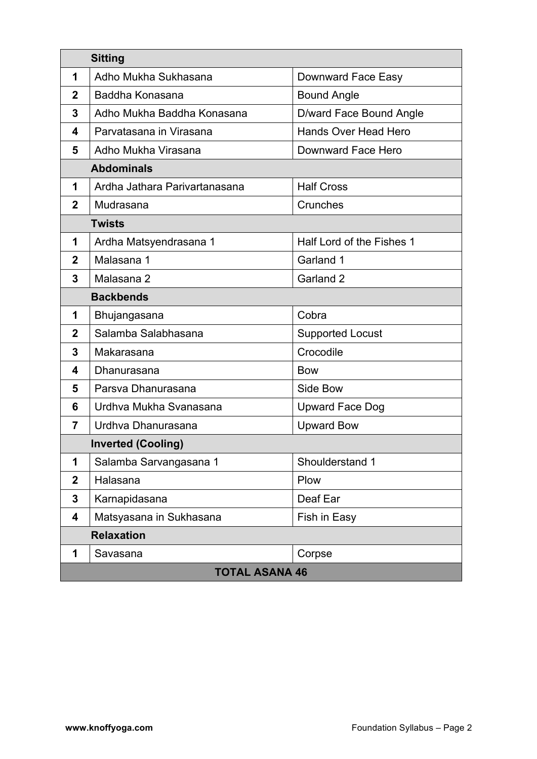| <b>Sitting</b>        |                               |                           |
|-----------------------|-------------------------------|---------------------------|
| 1                     | Adho Mukha Sukhasana          | Downward Face Easy        |
| $\mathbf{2}$          | Baddha Konasana               | <b>Bound Angle</b>        |
| 3                     | Adho Mukha Baddha Konasana    | D/ward Face Bound Angle   |
| 4                     | Parvatasana in Virasana       | Hands Over Head Hero      |
| 5                     | Adho Mukha Virasana           | Downward Face Hero        |
| <b>Abdominals</b>     |                               |                           |
| 1                     | Ardha Jathara Parivartanasana | <b>Half Cross</b>         |
| 2                     | Mudrasana                     | Crunches                  |
| <b>Twists</b>         |                               |                           |
| 1                     | Ardha Matsyendrasana 1        | Half Lord of the Fishes 1 |
| $\mathbf{2}$          | Malasana 1                    | Garland 1                 |
| 3                     | Malasana 2                    | Garland 2                 |
| <b>Backbends</b>      |                               |                           |
| 1                     | Bhujangasana                  | Cobra                     |
| $\overline{2}$        | Salamba Salabhasana           | <b>Supported Locust</b>   |
| 3                     | Makarasana                    | Crocodile                 |
| 4                     | Dhanurasana                   | <b>Bow</b>                |
| 5                     | Parsva Dhanurasana            | Side Bow                  |
| 6                     | Urdhva Mukha Svanasana        | <b>Upward Face Dog</b>    |
| 7                     | Urdhva Dhanurasana            | <b>Upward Bow</b>         |
|                       | <b>Inverted (Cooling)</b>     |                           |
| 1                     | Salamba Sarvangasana 1        | Shoulderstand 1           |
| $\mathbf{2}$          | Halasana                      | Plow                      |
| 3                     | Karnapidasana                 | Deaf Ear                  |
| 4                     | Matsyasana in Sukhasana       | Fish in Easy              |
| <b>Relaxation</b>     |                               |                           |
| 1                     | Savasana                      | Corpse                    |
| <b>TOTAL ASANA 46</b> |                               |                           |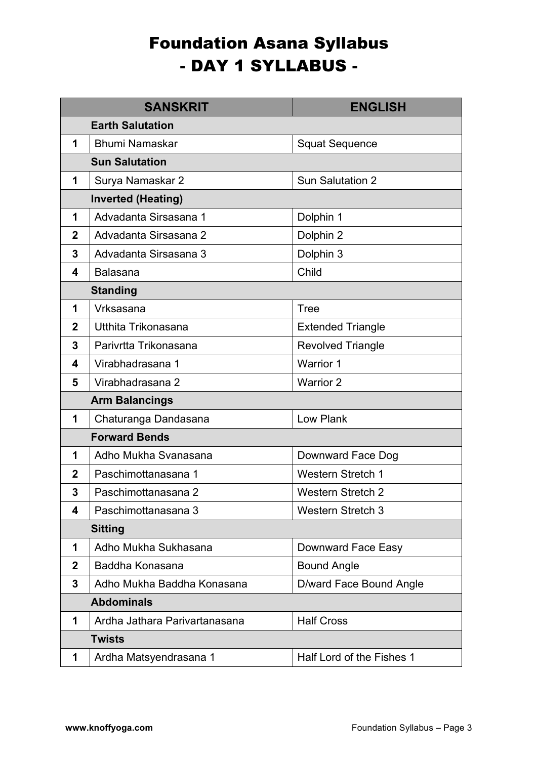## Foundation Asana Syllabus - DAY 1 SYLLABUS -

|              | <b>SANSKRIT</b>               | <b>ENGLISH</b>            |
|--------------|-------------------------------|---------------------------|
|              | <b>Earth Salutation</b>       |                           |
| 1            | <b>Bhumi Namaskar</b>         | <b>Squat Sequence</b>     |
|              | <b>Sun Salutation</b>         |                           |
| 1            | Surya Namaskar 2              | <b>Sun Salutation 2</b>   |
|              | <b>Inverted (Heating)</b>     |                           |
| 1            | Advadanta Sirsasana 1         | Dolphin 1                 |
| $\mathbf{2}$ | Advadanta Sirsasana 2         | Dolphin 2                 |
| 3            | Advadanta Sirsasana 3         | Dolphin 3                 |
| 4            | <b>Balasana</b>               | Child                     |
|              | <b>Standing</b>               |                           |
| 1            | Vrksasana                     | <b>Tree</b>               |
| $\mathbf{2}$ | Utthita Trikonasana           | <b>Extended Triangle</b>  |
| 3            | Parivrtta Trikonasana         | <b>Revolved Triangle</b>  |
| 4            | Virabhadrasana 1              | <b>Warrior 1</b>          |
| 5            | Virabhadrasana 2              | <b>Warrior 2</b>          |
|              | <b>Arm Balancings</b>         |                           |
| 1            | Chaturanga Dandasana          | Low Plank                 |
|              | <b>Forward Bends</b>          |                           |
| 1            | Adho Mukha Svanasana          | Downward Face Dog         |
| $\mathbf{2}$ | Paschimottanasana 1           | <b>Western Stretch 1</b>  |
| 3            | Paschimottanasana 2           | <b>Western Stretch 2</b>  |
| 4            | Paschimottanasana 3           | <b>Western Stretch 3</b>  |
|              | <b>Sitting</b>                |                           |
| 1            | Adho Mukha Sukhasana          | Downward Face Easy        |
| 2            | Baddha Konasana               | <b>Bound Angle</b>        |
| 3            | Adho Mukha Baddha Konasana    | D/ward Face Bound Angle   |
|              | <b>Abdominals</b>             |                           |
| 1            | Ardha Jathara Parivartanasana | <b>Half Cross</b>         |
|              | <b>Twists</b>                 |                           |
| 1            | Ardha Matsyendrasana 1        | Half Lord of the Fishes 1 |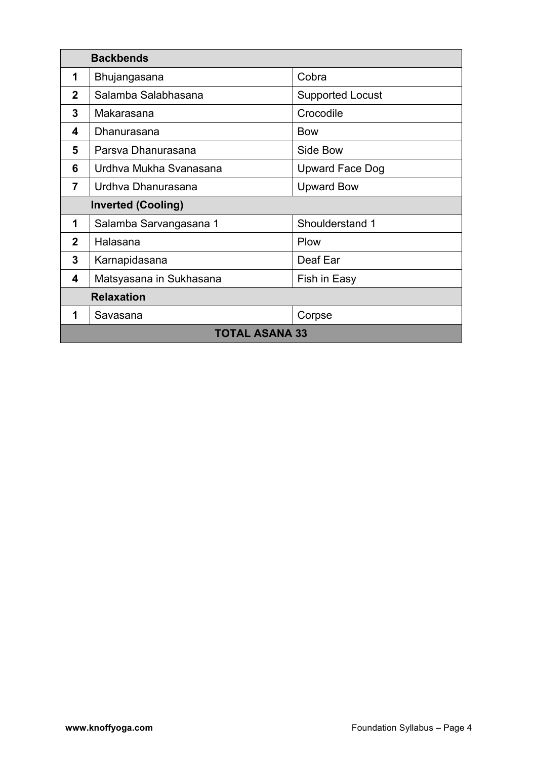| <b>Backbends</b>          |                         |                         |
|---------------------------|-------------------------|-------------------------|
| 1                         | Bhujangasana            | Cobra                   |
| 2                         | Salamba Salabhasana     | <b>Supported Locust</b> |
| 3                         | Makarasana              | Crocodile               |
| 4                         | Dhanurasana             | <b>Bow</b>              |
| 5                         | Parsva Dhanurasana      | Side Bow                |
| 6                         | Urdhva Mukha Svanasana  | <b>Upward Face Dog</b>  |
| $\overline{7}$            | Urdhva Dhanurasana      | <b>Upward Bow</b>       |
| <b>Inverted (Cooling)</b> |                         |                         |
| 1                         | Salamba Sarvangasana 1  | Shoulderstand 1         |
| $\mathbf{2}$              | Halasana                | Plow                    |
| 3                         | Karnapidasana           | Deaf Ear                |
| 4                         | Matsyasana in Sukhasana | Fish in Easy            |
| <b>Relaxation</b>         |                         |                         |
| 1                         | Savasana                | Corpse                  |
| <b>TOTAL ASANA 33</b>     |                         |                         |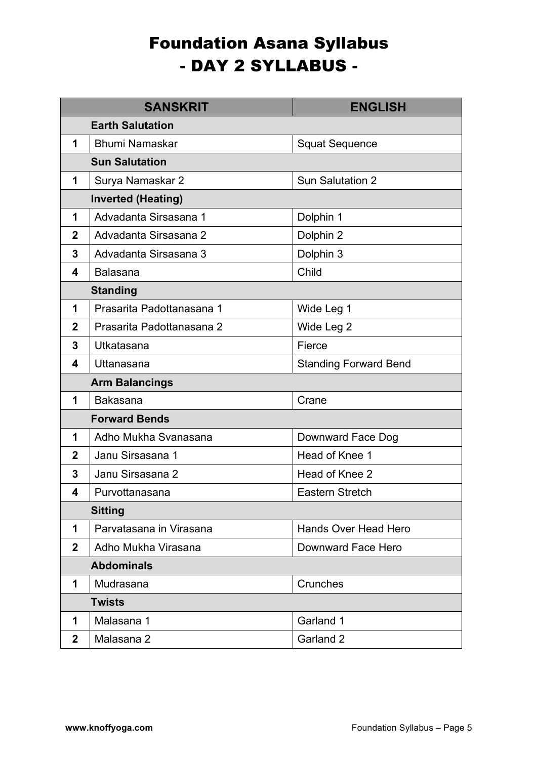## Foundation Asana Syllabus - DAY 2 SYLLABUS -

|                 | <b>SANSKRIT</b>           | <b>ENGLISH</b>               |  |
|-----------------|---------------------------|------------------------------|--|
|                 | <b>Earth Salutation</b>   |                              |  |
| 1               | <b>Bhumi Namaskar</b>     | <b>Squat Sequence</b>        |  |
|                 | <b>Sun Salutation</b>     |                              |  |
| 1               | Surya Namaskar 2          | <b>Sun Salutation 2</b>      |  |
|                 | <b>Inverted (Heating)</b> |                              |  |
| 1               | Advadanta Sirsasana 1     | Dolphin 1                    |  |
| $\mathbf{2}$    | Advadanta Sirsasana 2     | Dolphin 2                    |  |
| 3               | Advadanta Sirsasana 3     | Dolphin 3                    |  |
| 4               | <b>Balasana</b>           | Child                        |  |
| <b>Standing</b> |                           |                              |  |
| 1               | Prasarita Padottanasana 1 | Wide Leg 1                   |  |
| $\mathbf{2}$    | Prasarita Padottanasana 2 | Wide Leg 2                   |  |
| 3               | Utkatasana                | Fierce                       |  |
| 4               | Uttanasana                | <b>Standing Forward Bend</b> |  |
|                 | <b>Arm Balancings</b>     |                              |  |
| 1               | Bakasana                  | Crane                        |  |
|                 | <b>Forward Bends</b>      |                              |  |
| 1               | Adho Mukha Svanasana      | Downward Face Dog            |  |
| 2               | Janu Sirsasana 1          | Head of Knee 1               |  |
| 3               | Janu Sirsasana 2          | Head of Knee 2               |  |
| 4               | Purvottanasana            | Eastern Stretch              |  |
|                 | <b>Sitting</b>            |                              |  |
| 1               | Parvatasana in Virasana   | <b>Hands Over Head Hero</b>  |  |
| $\mathbf{2}$    | Adho Mukha Virasana       | Downward Face Hero           |  |
|                 | <b>Abdominals</b>         |                              |  |
| 1               | Mudrasana                 | Crunches                     |  |
|                 | <b>Twists</b>             |                              |  |
| 1               | Malasana 1                | Garland 1                    |  |
| $\mathbf{2}$    | Malasana 2                | Garland 2                    |  |